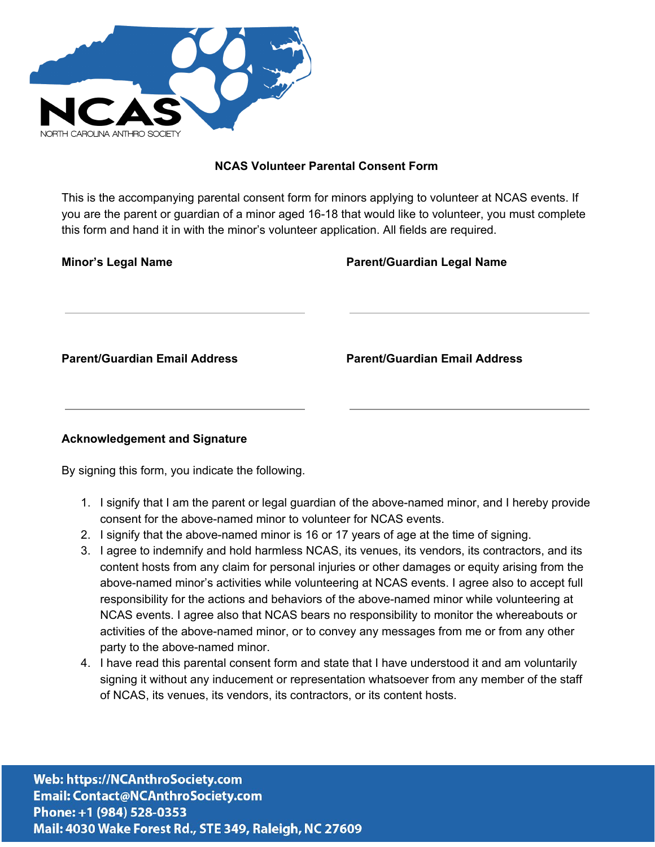

## **NCAS Volunteer Parental Consent Form**

This is the accompanying parental consent form for minors applying to volunteer at NCAS events. If you are the parent or guardian of a minor aged 16-18 that would like to volunteer, you must complete this form and hand it in with the minor's volunteer application. All fields are required.

| <b>Minor's Legal Name</b>            | <b>Parent/Guardian Legal Name</b>    |  |
|--------------------------------------|--------------------------------------|--|
|                                      |                                      |  |
|                                      |                                      |  |
|                                      |                                      |  |
|                                      |                                      |  |
| <b>Parent/Guardian Email Address</b> | <b>Parent/Guardian Email Address</b> |  |
|                                      |                                      |  |
|                                      |                                      |  |
| <b>Acknowledgement and Signature</b> |                                      |  |
|                                      |                                      |  |

By signing this form, you indicate the following.

- 1. I signify that I am the parent or legal guardian of the above-named minor, and I hereby provide consent for the above-named minor to volunteer for NCAS events.
- 2. I signify that the above-named minor is 16 or 17 years of age at the time of signing.
- 3. I agree to indemnify and hold harmless NCAS, its venues, its vendors, its contractors, and its content hosts from any claim for personal injuries or other damages or equity arising from the above-named minor's activities while volunteering at NCAS events. I agree also to accept full responsibility for the actions and behaviors of the above-named minor while volunteering at NCAS events. I agree also that NCAS bears no responsibility to monitor the whereabouts or activities of the above-named minor, or to convey any messages from me or from any other party to the above-named minor.
- 4. I have read this parental consent form and state that I have understood it and am voluntarily signing it without any inducement or representation whatsoever from any member of the staff of NCAS, its venues, its vendors, its contractors, or its content hosts.